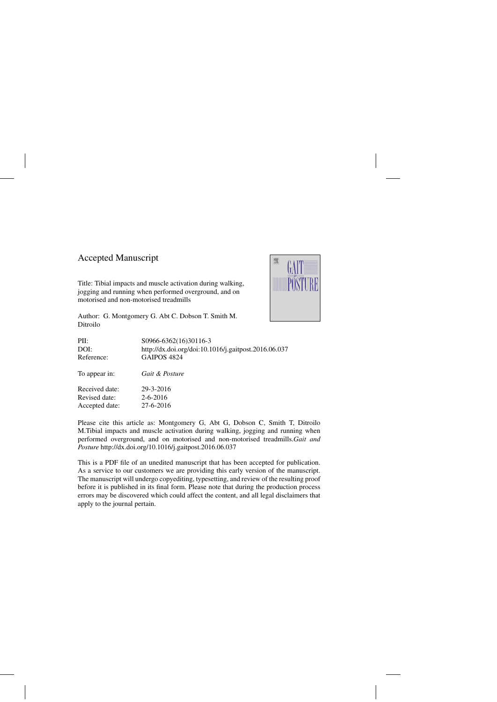## Accepted Manuscript

Title: Tibial impacts and muscle activation during walking, jogging and running when performed overground, and on motorised and non-motorised treadmills



Author: G. Montgomery G. Abt C. Dobson T. Smith M. Ditroilo

| PII:           | S0966-6362(16)30116-3                                |
|----------------|------------------------------------------------------|
| DOI:           | http://dx.doi.org/doi:10.1016/j.gaitpost.2016.06.037 |
| Reference:     | <b>GAIPOS 4824</b>                                   |
| To appear in:  | Gait & Posture                                       |
| Received date: | 29-3-2016                                            |
| Revised date:  | $2 - 6 - 2016$                                       |
| Accepted date: | 27-6-2016                                            |

Please cite this article as: Montgomery G, Abt G, Dobson C, Smith T, Ditroilo M.Tibial impacts and muscle activation during walking, jogging and running when performed overground, and on motorised and non-motorised treadmills.*Gait and Posture* <http://dx.doi.org/10.1016/j.gaitpost.2016.06.037>

This is a PDF file of an unedited manuscript that has been accepted for publication. As a service to our customers we are providing this early version of the manuscript. The manuscript will undergo copyediting, typesetting, and review of the resulting proof before it is published in its final form. Please note that during the production process errors may be discovered which could affect the content, and all legal disclaimers that apply to the journal pertain.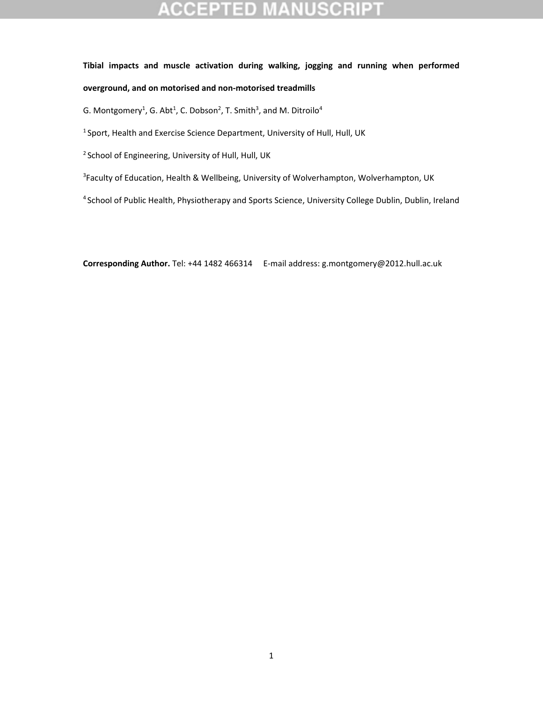#### **CCEPTED** NUSCR

# **Tibial impacts and muscle activation during walking, jogging and running when performed overground, and on motorised and non‐motorised treadmills**

G. Montgomery<sup>1</sup>, G. Abt<sup>1</sup>, C. Dobson<sup>2</sup>, T. Smith<sup>3</sup>, and M. Ditroilo<sup>4</sup>

<sup>1</sup> Sport, Health and Exercise Science Department, University of Hull, Hull, UK

<sup>2</sup> School of Engineering, University of Hull, Hull, UK

<sup>3</sup>Faculty of Education, Health & Wellbeing, University of Wolverhampton, Wolverhampton, UK

<sup>4</sup> School of Public Health, Physiotherapy and Sports Science, University College Dublin, Dublin, Ireland

**Corresponding Author.** Tel: +44 1482 466314 E‐mail address: g.montgomery@2012.hull.ac.uk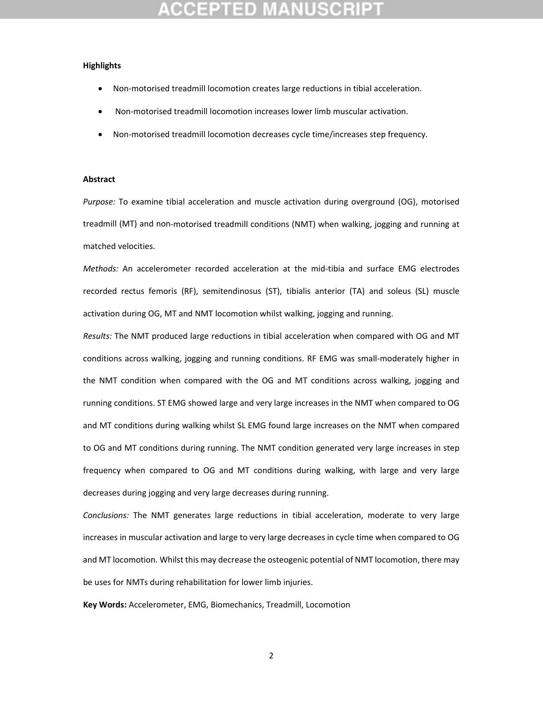#### **Highlights**

- Non‐motorised treadmill locomotion creates large reductions in tibial acceleration.
- Non‐motorised treadmill locomotion increases lower limb muscular activation.
- Non-motorised treadmill locomotion decreases cycle time/increases step frequency.

#### **Abstract**

*Purpose:* To examine tibial acceleration and muscle activation during overground (OG), motorised treadmill (MT) and non‐motorised treadmill conditions (NMT) when walking, jogging and running at matched velocities.

*Methods:* An accelerometer recorded acceleration at the mid‐tibia and surface EMG electrodes recorded rectus femoris (RF), semitendinosus (ST), tibialis anterior (TA) and soleus (SL) muscle activation during OG, MT and NMT locomotion whilst walking, jogging and running.

*Results:* The NMT produced large reductions in tibial acceleration when compared with OG and MT conditions across walking, jogging and running conditions. RF EMG was small-moderately higher in the NMT condition when compared with the OG and MT conditions across walking, jogging and running conditions. ST EMG showed large and very large increases in the NMT when compared to OG and MT conditions during walking whilst SL EMG found large increases on the NMT when compared to OG and MT conditions during running. The NMT condition generated very large increases in step frequency when compared to OG and MT conditions during walking, with large and very large decreases during jogging and very large decreases during running.

*Conclusions:* The NMT generates large reductions in tibial acceleration, moderate to very large increases in muscular activation and large to very large decreases in cycle time when compared to OG and MT locomotion. Whilst this may decrease the osteogenic potential of NMT locomotion, there may be uses for NMTs during rehabilitation for lower limb injuries.

**Key Words:** Accelerometer, EMG, Biomechanics, Treadmill, Locomotion

2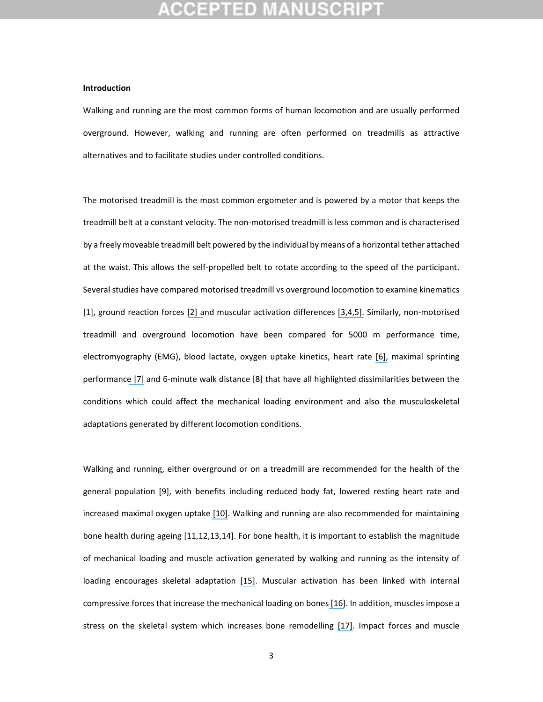#### **Introduction**

Walking and running are the most common forms of human locomotion and are usually performed overground. However, walking and running are often performed on treadmills as attractive alternatives and to facilitate studies under controlled conditions.

The motorised treadmill is the most common ergometer and is powered by a motor that keeps the treadmill belt at a constant velocity. The non‐motorised treadmill is less common and is characterised by a freely moveable treadmill belt powered by the individual by means of a horizontal tether attached at the waist. This allows the self‐propelled belt to rotate according to the speed of the participant. Several studies have compared motorised treadmill vs overground locomotion to examine kinematics [1], ground reaction forces [\[2\]](https://www.researchgate.net/publication/6882769_A_kinematic_and_kinetic_comparison_of_overground_and_treadmill_walking_in_healthy_subjects?el=1_x_8&enrichId=rgreq-d792737d95dfc5df4f76784638a03048-XXX&enrichSource=Y292ZXJQYWdlOzMwNDUzMjQ2ODtBUzozODAwNzg5NzEyMTE3OTBAMTQ2NzYyOTI5Njc4NQ==) and muscular activation differences [\[3,](https://www.researchgate.net/publication/49737711_Comparison_of_elliptical_training_stationary_cycling_treadmill_walking_and_overground_walking_Electromyographic_patterns?el=1_x_8&enrichId=rgreq-d792737d95dfc5df4f76784638a03048-XXX&enrichSource=Y292ZXJQYWdlOzMwNDUzMjQ2ODtBUzozODAwNzg5NzEyMTE3OTBAMTQ2NzYyOTI5Njc4NQ==)[4,](https://www.researchgate.net/publication/5798617_Biomechanics_of_overground_vs_treadmill_walking_in_healthy_individuals?el=1_x_8&enrichId=rgreq-d792737d95dfc5df4f76784638a03048-XXX&enrichSource=Y292ZXJQYWdlOzMwNDUzMjQ2ODtBUzozODAwNzg5NzEyMTE3OTBAMTQ2NzYyOTI5Njc4NQ==)[5\].](https://www.researchgate.net/publication/19130523_Treadmill_vs_floor_walking_Kinematics_electromyogram_and_heart_rate?el=1_x_8&enrichId=rgreq-d792737d95dfc5df4f76784638a03048-XXX&enrichSource=Y292ZXJQYWdlOzMwNDUzMjQ2ODtBUzozODAwNzg5NzEyMTE3OTBAMTQ2NzYyOTI5Njc4NQ==) Similarly, non‐motorised treadmill and overground locomotion have been compared for 5000 m performance time, electromyography (EMG), blood lactate, oxygen uptake kinetics, heart rate [\[6\],](https://www.researchgate.net/publication/269414734_The_validity_of_endurance_running_performance_on_the_Curve_3_TM_non-motorised_treadmill?el=1_x_8&enrichId=rgreq-d792737d95dfc5df4f76784638a03048-XXX&enrichSource=Y292ZXJQYWdlOzMwNDUzMjQ2ODtBUzozODAwNzg5NzEyMTE3OTBAMTQ2NzYyOTI5Njc4NQ==) maximal sprinting performance [\[7\]](https://www.researchgate.net/publication/221737188_The_Reliability_and_Validity_of_Short-Distance_Sprint_Performance_Assessed_on_a_Nonmotorized_Treadmill?el=1_x_8&enrichId=rgreq-d792737d95dfc5df4f76784638a03048-XXX&enrichSource=Y292ZXJQYWdlOzMwNDUzMjQ2ODtBUzozODAwNzg5NzEyMTE3OTBAMTQ2NzYyOTI5Njc4NQ==) and 6‐minute walk distance [8] that have all highlighted dissimilarities between the conditions which could affect the mechanical loading environment and also the musculoskeletal adaptations generated by different locomotion conditions.

Walking and running, either overground or on a treadmill are recommended for the health of the general population [9], with benefits including reduced body fat, lowered resting heart rate and increased maximal oxygen uptake [\[10\].](https://www.researchgate.net/publication/280103617_Meta-Analyses_of_the_Effects_of_Habitual_Running_on_Indices_of_Health_in_Physically_Inactive_Adults?el=1_x_8&enrichId=rgreq-d792737d95dfc5df4f76784638a03048-XXX&enrichSource=Y292ZXJQYWdlOzMwNDUzMjQ2ODtBUzozODAwNzg5NzEyMTE3OTBAMTQ2NzYyOTI5Njc4NQ==) Walking and running are also recommended for maintaining bone health during ageing [11,12,13,14]. For bone health, it is important to establish the magnitude of mechanical loading and muscle activation generated by walking and running as the intensity of loading encourages skeletal adaptation [\[15\].](https://www.researchgate.net/publication/6657878_Effect_of_impact_exercise_and_its_intensity_on_bone_geometry_at_weight-bearing_tibia_and_femur?el=1_x_8&enrichId=rgreq-d792737d95dfc5df4f76784638a03048-XXX&enrichSource=Y292ZXJQYWdlOzMwNDUzMjQ2ODtBUzozODAwNzg5NzEyMTE3OTBAMTQ2NzYyOTI5Njc4NQ==) Muscular activation has been linked with internal compressive forces that increase the mechanical loading on bones [\[16\]](https://www.researchgate.net/publication/14098146_Relations_between_compressive_axial_forces_in_an_instrumented_massive_femoral_implant_ground_reaction_forces_and_integrated_electromyographs_from_vastus_lateralis_during_various_). In addition, muscles impose a stress on the skeletal system which increases bone remodelling [\[17\].](https://www.researchgate.net/publication/26879368_Is_Bone) Impact forces and muscle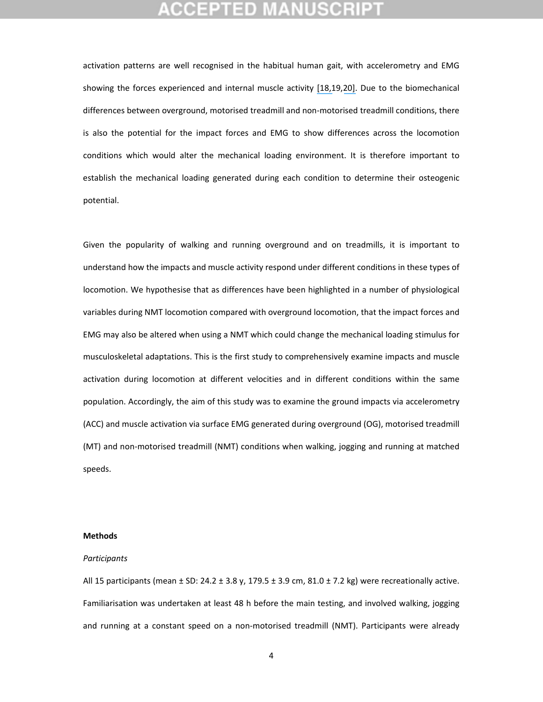## GEPTED

activation patterns are well recognised in the habitual human gait, with accelerometry and EMG showing the forces experienced and internal muscle activity [\[18,1](https://www.researchgate.net/publication/5478635_Test-Retest_Reliability_and_Minimal_Clinical_Change_Determination_for_3-Dimensional_Tibial_and_Femoral_Accelerations_During_Treadmill_Walking_in_Knee_Osteoarthritis_Patients?el=1_x_8&enrichId=rgreq-d792737d95dfc5df4f76784638a03048-XXX&enrichSource=Y292ZXJQYWdlOzMwNDUzMjQ2ODtBUzozODAwNzg5NzEyMTE3OTBAMTQ2NzYyOTI5Njc4NQ==)9,[20\].](https://www.researchgate.net/publication/12711682_Shock_accelerations_and_attenuation_in_downhill_and_level_running?el=1_x_8&enrichId=rgreq-d792737d95dfc5df4f76784638a03048-XXX&enrichSource=Y292ZXJQYWdlOzMwNDUzMjQ2ODtBUzozODAwNzg5NzEyMTE3OTBAMTQ2NzYyOTI5Njc4NQ==) Due to the biomechanical differences between overground, motorised treadmill and non‐motorised treadmill conditions, there is also the potential for the impact forces and EMG to show differences across the locomotion conditions which would alter the mechanical loading environment. It is therefore important to establish the mechanical loading generated during each condition to determine their osteogenic potential.

Given the popularity of walking and running overground and on treadmills, it is important to understand how the impacts and muscle activity respond under different conditions in these types of locomotion. We hypothesise that as differences have been highlighted in a number of physiological variables during NMT locomotion compared with overground locomotion, that the impact forces and EMG may also be altered when using a NMT which could change the mechanical loading stimulus for musculoskeletal adaptations. This is the first study to comprehensively examine impacts and muscle activation during locomotion at different velocities and in different conditions within the same population. Accordingly, the aim of this study was to examine the ground impacts via accelerometry (ACC) and muscle activation via surface EMG generated during overground (OG), motorised treadmill (MT) and non‐motorised treadmill (NMT) conditions when walking, jogging and running at matched speeds.

#### **Methods**

#### *Participants*

All 15 participants (mean  $\pm$  SD: 24.2  $\pm$  3.8 y, 179.5  $\pm$  3.9 cm, 81.0  $\pm$  7.2 kg) were recreationally active. Familiarisation was undertaken at least 48 h before the main testing, and involved walking, jogging and running at a constant speed on a non‐motorised treadmill (NMT). Participants were already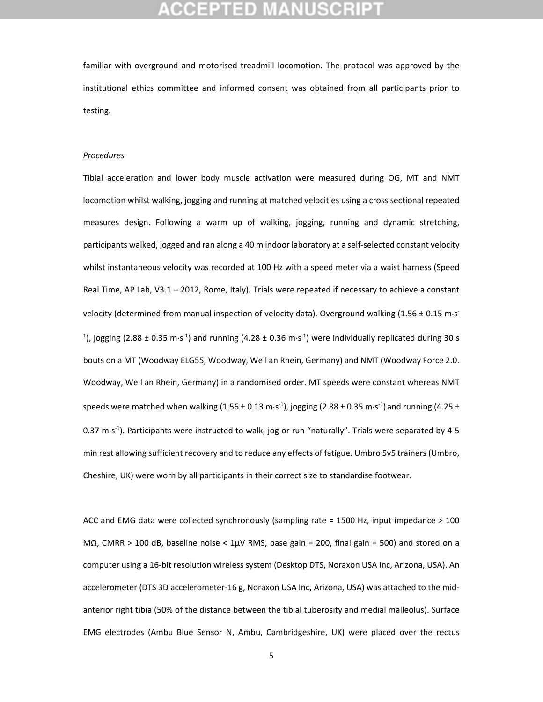familiar with overground and motorised treadmill locomotion. The protocol was approved by the institutional ethics committee and informed consent was obtained from all participants prior to testing.

### *Procedures*

Tibial acceleration and lower body muscle activation were measured during OG, MT and NMT locomotion whilst walking, jogging and running at matched velocities using a cross sectional repeated measures design. Following a warm up of walking, jogging, running and dynamic stretching, participants walked, jogged and ran along a 40 m indoor laboratory at a self‐selected constant velocity whilst instantaneous velocity was recorded at 100 Hz with a speed meter via a waist harness (Speed Real Time, AP Lab, V3.1 – 2012, Rome, Italy). Trials were repeated if necessary to achieve a constant velocity (determined from manual inspection of velocity data). Overground walking  $(1.56 \pm 0.15 \text{ m}\cdot\text{s}^{-1})$ <sup>1</sup>), jogging (2.88 ± 0.35 m·s<sup>-1</sup>) and running (4.28 ± 0.36 m·s<sup>-1</sup>) were individually replicated during 30 s bouts on a MT (Woodway ELG55, Woodway, Weil an Rhein, Germany) and NMT (Woodway Force 2.0. Woodway, Weil an Rhein, Germany) in a randomised order. MT speeds were constant whereas NMT speeds were matched when walking (1.56 ± 0.13 m·s<sup>-1</sup>), jogging (2.88 ± 0.35 m·s<sup>-1</sup>) and running (4.25 ± 0.37 m·s<sup>-1</sup>). Participants were instructed to walk, jog or run "naturally". Trials were separated by 4-5 min rest allowing sufficient recovery and to reduce any effects of fatigue. Umbro 5v5 trainers (Umbro, Cheshire, UK) were worn by all participants in their correct size to standardise footwear.

ACC and EMG data were collected synchronously (sampling rate = 1500 Hz, input impedance > 100 MΩ, CMRR > 100 dB, baseline noise < 1µV RMS, base gain = 200, final gain = 500) and stored on a computer using a 16‐bit resolution wireless system (Desktop DTS, Noraxon USA Inc, Arizona, USA). An accelerometer (DTS 3D accelerometer‐16 g, Noraxon USA Inc, Arizona, USA) was attached to the mid‐ anterior right tibia (50% of the distance between the tibial tuberosity and medial malleolus). Surface EMG electrodes (Ambu Blue Sensor N, Ambu, Cambridgeshire, UK) were placed over the rectus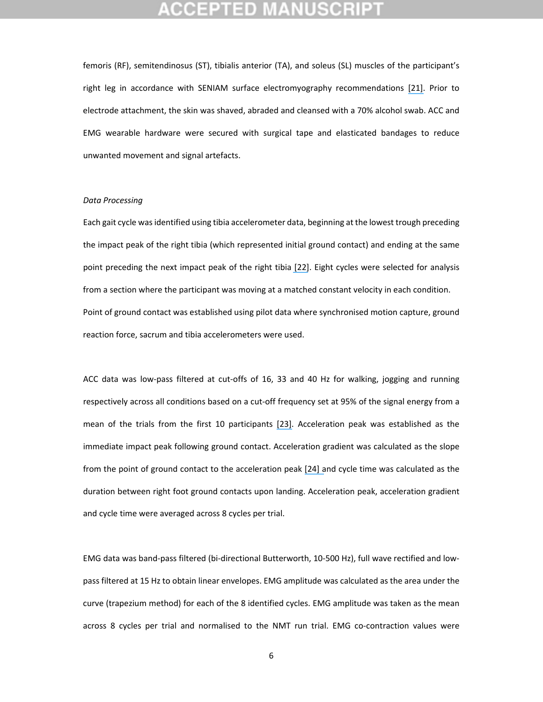femoris (RF), semitendinosus (ST), tibialis anterior (TA), and soleus (SL) muscles of the participant's right leg in accordance with SENIAM surface electromyography recommendations [\[21\].](https://www.researchgate.net/publication/303802872_European_recommendations_for_surface_electromyography?el=1_x_8&enrichId=rgreq-d792737d95dfc5df4f76784638a03048-XXX&enrichSource=Y292ZXJQYWdlOzMwNDUzMjQ2ODtBUzozODAwNzg5NzEyMTE3OTBAMTQ2NzYyOTI5Njc4NQ==) Prior to electrode attachment, the skin was shaved, abraded and cleansed with a 70% alcohol swab. ACC and EMG wearable hardware were secured with surgical tape and elasticated bandages to reduce unwanted movement and signal artefacts.

#### *Data Processing*

Each gait cycle wasidentified using tibia accelerometer data, beginning at the lowest trough preceding the impact peak of the right tibia (which represented initial ground contact) and ending at the same point preceding the next impact peak of the right tibia [\[22\]](https://www.researchgate.net/publication/281511105_Analysis_of_several_methods_and_inertial_sensors_locations_to_assess_gait_parameters_in_able-bodied_subjects?el=1_x_8&enrichId=rgreq-d792737d95dfc5df4f76784638a03048-XXX&enrichSource=Y292ZXJQYWdlOzMwNDUzMjQ2ODtBUzozODAwNzg5NzEyMTE3OTBAMTQ2NzYyOTI5Njc4NQ==). Eight cycles were selected for analysis from a section where the participant was moving at a matched constant velocity in each condition. Point of ground contact was established using pilot data where synchronised motion capture, ground reaction force, sacrum and tibia accelerometers were used.

ACC data was low-pass filtered at cut-offs of 16, 33 and 40 Hz for walking, jogging and running respectively across all conditions based on a cut-off frequency set at 95% of the signal energy from a mean of the trials from the first 10 participants [\[23\].](https://www.researchgate.net/publication/235796539_Determination_of_Gait_Events_Using_an_Externally_Mounted_Shank_Accelerometer?el=1_x_8&enrichId=rgreq-d792737d95dfc5df4f76784638a03048-XXX&enrichSource=Y292ZXJQYWdlOzMwNDUzMjQ2ODtBUzozODAwNzg5NzEyMTE3OTBAMTQ2NzYyOTI5Njc4NQ==) Acceleration peak was established as the immediate impact peak following ground contact. Acceleration gradient was calculated as the slope from the point of ground contact to the acceleration peak [\[24\]](https://www.researchgate.net/publication/51381640_Acceleration_slope_of_exercise-induced_impacts_is_a_determinant_of_changes_in_bone_density?el=1_x_8&enrichId=rgreq-d792737d95dfc5df4f76784638a03048-XXX&enrichSource=Y292ZXJQYWdlOzMwNDUzMjQ2ODtBUzozODAwNzg5NzEyMTE3OTBAMTQ2NzYyOTI5Njc4NQ==) and cycle time was calculated as the duration between right foot ground contacts upon landing. Acceleration peak, acceleration gradient and cycle time were averaged across 8 cycles per trial.

EMG data was band‐pass filtered (bi‐directional Butterworth, 10‐500 Hz), full wave rectified and low‐ pass filtered at 15 Hz to obtain linear envelopes. EMG amplitude was calculated as the area under the curve (trapezium method) for each of the 8 identified cycles. EMG amplitude was taken as the mean across 8 cycles per trial and normalised to the NMT run trial. EMG co-contraction values were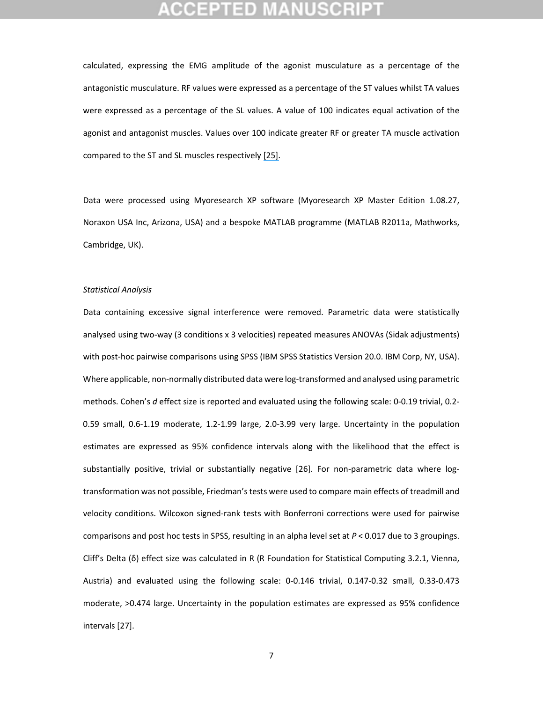calculated, expressing the EMG amplitude of the agonist musculature as a percentage of the antagonistic musculature. RF values were expressed as a percentage of the ST values whilst TA values were expressed as a percentage of the SL values. A value of 100 indicates equal activation of the agonist and antagonist muscles. Values over 100 indicate greater RF or greater TA muscle activation compared to the ST and SL muscles respectively [\[25\].](https://www.researchgate.net/publication/5954902_Agonist_versus_antagonist_muscle_fatigue_effects_on_thigh_muscle_activity_and_vertical_ground_reaction_during_drop_landing?el=1_x_8&enrichId=rgreq-d792737d95dfc5df4f76784638a03048-XXX&enrichSource=Y292ZXJQYWdlOzMwNDUzMjQ2ODtBUzozODAwNzg5NzEyMTE3OTBAMTQ2NzYyOTI5Njc4NQ==)

Data were processed using Myoresearch XP software (Myoresearch XP Master Edition 1.08.27, Noraxon USA Inc, Arizona, USA) and a bespoke MATLAB programme (MATLAB R2011a, Mathworks, Cambridge, UK).

#### *Statistical Analysis*

Data containing excessive signal interference were removed. Parametric data were statistically analysed using two‐way (3 conditions x 3 velocities) repeated measures ANOVAs (Sidak adjustments) with post-hoc pairwise comparisons using SPSS (IBM SPSS Statistics Version 20.0. IBM Corp, NY, USA). Where applicable, non-normally distributed data were log-transformed and analysed using parametric methods. Cohen's *d* effect size is reported and evaluated using the following scale: 0‐0.19 trivial, 0.2‐ 0.59 small, 0.6‐1.19 moderate, 1.2‐1.99 large, 2.0‐3.99 very large. Uncertainty in the population estimates are expressed as 95% confidence intervals along with the likelihood that the effect is substantially positive, trivial or substantially negative [26]. For non-parametric data where logtransformation was not possible, Friedman'stests were used to compare main effects of treadmill and velocity conditions. Wilcoxon signed‐rank tests with Bonferroni corrections were used for pairwise comparisons and post hoc tests in SPSS, resulting in an alpha level set at *P* < 0.017 due to 3 groupings. Cliff's Delta (δ) effect size was calculated in R (R Foundation for Statistical Computing 3.2.1, Vienna, Austria) and evaluated using the following scale: 0‐0.146 trivial, 0.147‐0.32 small, 0.33‐0.473 moderate, >0.474 large. Uncertainty in the population estimates are expressed as 95% confidence intervals [27].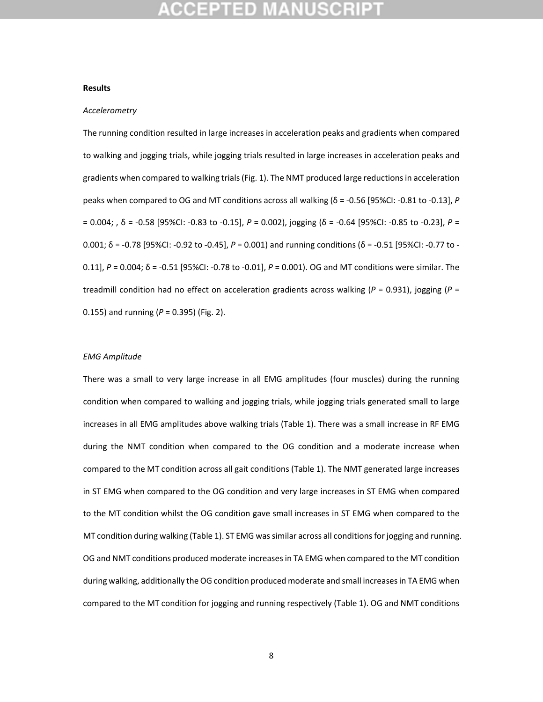#### **Results**

### *Accelerometry*

The running condition resulted in large increases in acceleration peaks and gradients when compared to walking and jogging trials, while jogging trials resulted in large increases in acceleration peaks and gradients when compared to walking trials(Fig. 1). The NMT produced large reductionsin acceleration peaks when compared to OG and MT conditions across all walking ( $\delta$  = -0.56 [95%CI: -0.81 to -0.13], *P* = 0.004; , δ = ‐0.58 [95%CI: ‐0.83 to ‐0.15], *P* = 0.002), jogging (δ = ‐0.64 [95%CI: ‐0.85 to ‐0.23], *P* = 0.001; δ = ‐0.78 [95%CI: ‐0.92 to ‐0.45], *P* = 0.001) and running conditions (δ = ‐0.51 [95%CI: ‐0.77 to ‐ 0.11], *P* = 0.004; δ = ‐0.51 [95%CI: ‐0.78 to ‐0.01], *P* = 0.001). OG and MT conditions were similar. The treadmill condition had no effect on acceleration gradients across walking (*P* = 0.931), jogging (*P* = 0.155) and running (*P* = 0.395) (Fig. 2).

#### *EMG Amplitude*

There was a small to very large increase in all EMG amplitudes (four muscles) during the running condition when compared to walking and jogging trials, while jogging trials generated small to large increases in all EMG amplitudes above walking trials (Table 1). There was a small increase in RF EMG during the NMT condition when compared to the OG condition and a moderate increase when compared to the MT condition across all gait conditions (Table 1). The NMT generated large increases in ST EMG when compared to the OG condition and very large increases in ST EMG when compared to the MT condition whilst the OG condition gave small increases in ST EMG when compared to the MT condition during walking (Table 1). ST EMG was similar across all conditions for jogging and running. OG and NMT conditions produced moderate increasesin TA EMG when compared to the MT condition during walking, additionally the OG condition produced moderate and small increases in TA EMG when compared to the MT condition for jogging and running respectively (Table 1). OG and NMT conditions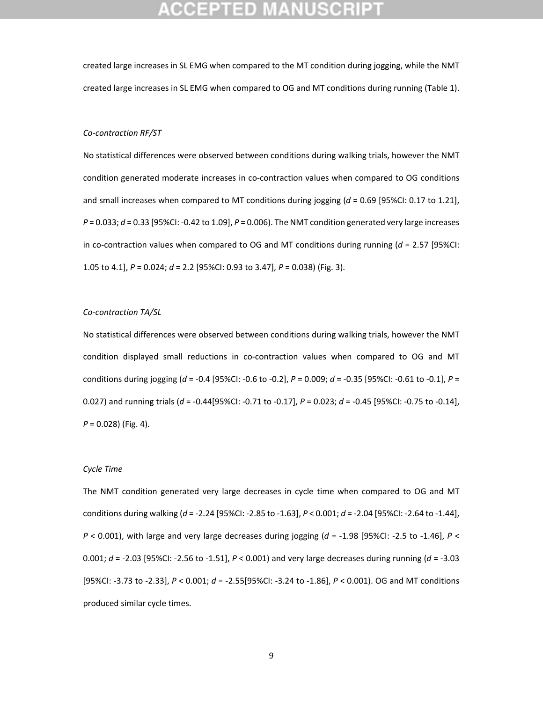created large increases in SL EMG when compared to the MT condition during jogging, while the NMT created large increases in SL EMG when compared to OG and MT conditions during running (Table 1).

#### *Co‐contraction RF/ST*

No statistical differences were observed between conditions during walking trials, however the NMT condition generated moderate increases in co-contraction values when compared to OG conditions and small increases when compared to MT conditions during jogging (*d* = 0.69 [95%CI: 0.17 to 1.21], *P* = 0.033; *d* = 0.33 [95%CI: ‐0.42 to 1.09], *P* = 0.006). The NMT condition generated very large increases in co-contraction values when compared to OG and MT conditions during running  $(d = 2.57$  [95%CI: 1.05 to 4.1], *P* = 0.024; *d* = 2.2 [95%CI: 0.93 to 3.47], *P* = 0.038) (Fig. 3).

### *Co‐contraction TA/SL*

No statistical differences were observed between conditions during walking trials, however the NMT condition displayed small reductions in co-contraction values when compared to OG and MT conditions during jogging (*d* = ‐0.4 [95%CI: ‐0.6 to ‐0.2], *P* = 0.009; *d* = ‐0.35 [95%CI: ‐0.61 to ‐0.1], *P* = 0.027) and running trials (*d* = ‐0.44[95%CI: ‐0.71 to ‐0.17], *P* = 0.023; *d* = ‐0.45 [95%CI: ‐0.75 to ‐0.14], *P* = 0.028) (Fig. 4).

### *Cycle Time*

The NMT condition generated very large decreases in cycle time when compared to OG and MT conditions during walking (*d* = ‐2.24 [95%CI: ‐2.85 to ‐1.63], *P* < 0.001; *d* = ‐2.04 [95%CI: ‐2.64 to ‐1.44], *P* < 0.001), with large and very large decreases during jogging (*d* = ‐1.98 [95%CI: ‐2.5 to ‐1.46], *P* < 0.001; *d* = ‐2.03 [95%CI: ‐2.56 to ‐1.51], *P* < 0.001) and very large decreases during running (*d* = ‐3.03 [95%CI: ‐3.73 to ‐2.33], *P* < 0.001; *d* = ‐2.55[95%CI: ‐3.24 to ‐1.86], *P* < 0.001). OG and MT conditions produced similar cycle times.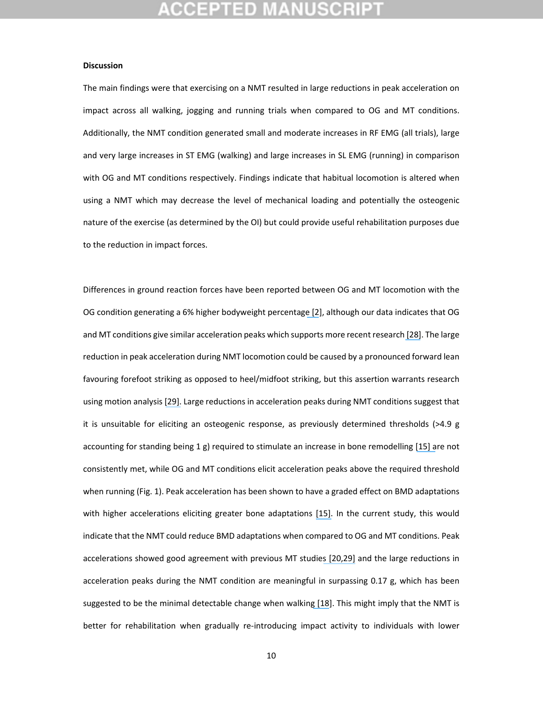#### **Discussion**

The main findings were that exercising on a NMT resulted in large reductions in peak acceleration on impact across all walking, jogging and running trials when compared to OG and MT conditions. Additionally, the NMT condition generated small and moderate increases in RF EMG (all trials), large and very large increases in ST EMG (walking) and large increases in SL EMG (running) in comparison with OG and MT conditions respectively. Findings indicate that habitual locomotion is altered when using a NMT which may decrease the level of mechanical loading and potentially the osteogenic nature of the exercise (as determined by the OI) but could provide useful rehabilitation purposes due to the reduction in impact forces.

Differences in ground reaction forces have been reported between OG and MT locomotion with the OG condition generating a 6% higher bodyweight percentage [\[2](https://www.researchgate.net/publication/6882769_A_kinematic_and_kinetic_comparison_of_overground_and_treadmill_walking_in_healthy_subjects?el=1_x_8&enrichId=rgreq-d792737d95dfc5df4f76784638a03048-XXX&enrichSource=Y292ZXJQYWdlOzMwNDUzMjQ2ODtBUzozODAwNzg5NzEyMTE3OTBAMTQ2NzYyOTI5Njc4NQ==)], although our data indicates that OG and MT conditions give similar acceleration peaks which supports more recent research [\[28\]](https://www.researchgate.net/publication/233787216_Comparison_of_vertical_ground_reaction_forces_during_overground_and_treadmill_running_A_validation_study?el=1_x_8&enrichId=rgreq-d792737d95dfc5df4f76784638a03048-XXX&enrichSource=Y292ZXJQYWdlOzMwNDUzMjQ2ODtBUzozODAwNzg5NzEyMTE3OTBAMTQ2NzYyOTI5Njc4NQ==). The large reduction in peak acceleration during NMT locomotion could be caused by a pronounced forward lean favouring forefoot striking as opposed to heel/midfoot striking, but this assertion warrants research using motion analysis [\[29\].](https://www.researchgate.net/publication/261218559_Use_of_audio_biofeedback_to_reduce_tibial_impact_accelerations_during_running?el=1_x_8&enrichId=rgreq-d792737d95dfc5df4f76784638a03048-XXX&enrichSource=Y292ZXJQYWdlOzMwNDUzMjQ2ODtBUzozODAwNzg5NzEyMTE3OTBAMTQ2NzYyOTI5Njc4NQ==) Large reductions in acceleration peaks during NMT conditions suggest that it is unsuitable for eliciting an osteogenic response, as previously determined thresholds (>4.9 g accounting for standing being 1 g) required to stimulate an increase in bone remodelling [\[15\]](https://www.researchgate.net/publication/6657878_Effect_of_impact_exercise_and_its_intensity_on_bone_geometry_at_weight-bearing_tibia_and_femur?el=1_x_8&enrichId=rgreq-d792737d95dfc5df4f76784638a03048-XXX&enrichSource=Y292ZXJQYWdlOzMwNDUzMjQ2ODtBUzozODAwNzg5NzEyMTE3OTBAMTQ2NzYyOTI5Njc4NQ==) are not consistently met, while OG and MT conditions elicit acceleration peaks above the required threshold when running (Fig. 1). Peak acceleration has been shown to have a graded effect on BMD adaptations with higher accelerations eliciting greater bone adaptations [\[15\].](https://www.researchgate.net/publication/6657878_Effect_of_impact_exercise_and_its_intensity_on_bone_geometry_at_weight-bearing_tibia_and_femur?el=1_x_8&enrichId=rgreq-d792737d95dfc5df4f76784638a03048-XXX&enrichSource=Y292ZXJQYWdlOzMwNDUzMjQ2ODtBUzozODAwNzg5NzEyMTE3OTBAMTQ2NzYyOTI5Njc4NQ==) In the current study, this would indicate that the NMT could reduce BMD adaptations when compared to OG and MT conditions. Peak accelerations showed good agreement with previous MT studies [\[20](https://www.researchgate.net/publication/12711682_Shock_accelerations_and_attenuation_in_downhill_and_level_running?el=1_x_8&enrichId=rgreq-d792737d95dfc5df4f76784638a03048-XXX&enrichSource=Y292ZXJQYWdlOzMwNDUzMjQ2ODtBUzozODAwNzg5NzEyMTE3OTBAMTQ2NzYyOTI5Njc4NQ==)[,29\]](https://www.researchgate.net/publication/261218559_Use_of_audio_biofeedback_to_reduce_tibial_impact_accelerations_during_running?el=1_x_8&enrichId=rgreq-d792737d95dfc5df4f76784638a03048-XXX&enrichSource=Y292ZXJQYWdlOzMwNDUzMjQ2ODtBUzozODAwNzg5NzEyMTE3OTBAMTQ2NzYyOTI5Njc4NQ==) and the large reductions in acceleration peaks during the NMT condition are meaningful in surpassing 0.17 g, which has been suggested to be the minimal detectable change when walking [\[18](https://www.researchgate.net/publication/5478635_Test-Retest_Reliability_and_Minimal_Clinical_Change_Determination_for_3-Dimensional_Tibial_and_Femoral_Accelerations_During_Treadmill_Walking_in_Knee_Osteoarthritis_Patients?el=1_x_8&enrichId=rgreq-d792737d95dfc5df4f76784638a03048-XXX&enrichSource=Y292ZXJQYWdlOzMwNDUzMjQ2ODtBUzozODAwNzg5NzEyMTE3OTBAMTQ2NzYyOTI5Njc4NQ==)]. This might imply that the NMT is better for rehabilitation when gradually re-introducing impact activity to individuals with lower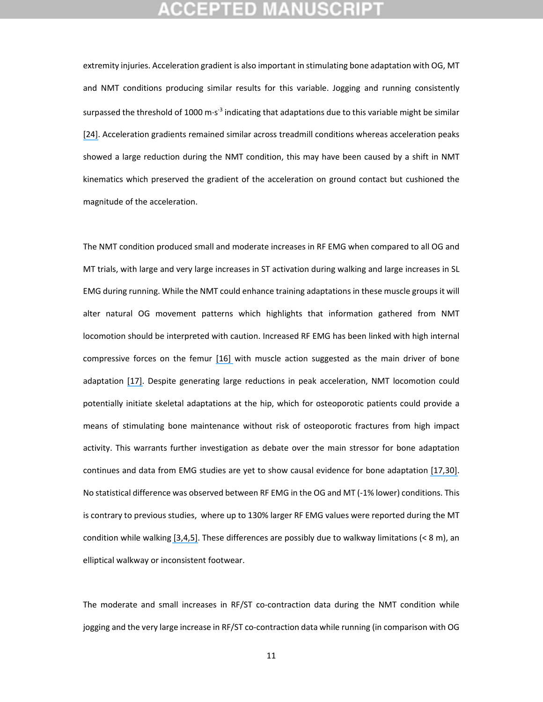extremity injuries. Acceleration gradient is also important in stimulating bone adaptation with OG, MT and NMT conditions producing similar results for this variable. Jogging and running consistently surpassed the threshold of 1000 m $s^3$  indicating that adaptations due to this variable might be similar [\[24\].](https://www.researchgate.net/publication/51381640_Acceleration_slope_of_exercise-induced_impacts_is_a_determinant_of_changes_in_bone_density?el=1_x_8&enrichId=rgreq-d792737d95dfc5df4f76784638a03048-XXX&enrichSource=Y292ZXJQYWdlOzMwNDUzMjQ2ODtBUzozODAwNzg5NzEyMTE3OTBAMTQ2NzYyOTI5Njc4NQ==) Acceleration gradients remained similar across treadmill conditions whereas acceleration peaks showed a large reduction during the NMT condition, this may have been caused by a shift in NMT kinematics which preserved the gradient of the acceleration on ground contact but cushioned the magnitude of the acceleration.

The NMT condition produced small and moderate increases in RF EMG when compared to all OG and MT trials, with large and very large increases in ST activation during walking and large increases in SL EMG during running. While the NMT could enhance training adaptations in these muscle groups it will alter natural OG movement patterns which highlights that information gathered from NMT locomotion should be interpreted with caution. Increased RF EMG has been linked with high internal compressive forces on the femur [\[16\]](https://www.researchgate.net/publication/14098146_Relations_between_compressive_axial_forces_in_an_instrumented_massive_femoral_implant_ground_reaction_forces_and_integrated_electromyographs_from_vastus_lateralis_during_various_) with muscle action suggested as the main driver of bone adaptation [\[17\].](https://www.researchgate.net/publication/26879368_Is_Bone) Despite generating large reductions in peak acceleration, NMT locomotion could potentially initiate skeletal adaptations at the hip, which for osteoporotic patients could provide a means of stimulating bone maintenance without risk of osteoporotic fractures from high impact activity. This warrants further investigation as debate over the main stressor for bone adaptation continues and data from EMG studies are yet to show causal evidence for bone adaptation [\[17,](https://www.researchgate.net/publication/26879368_Is_Bone)[30\].](https://www.researchgate.net/publication/26879369_Is_Bone) No statistical difference was observed between RF EMG in the OG and MT (‐1% lower) conditions. This is contrary to previous studies, where up to 130% larger RF EMG values were reported during the MT condition while walking [\[3,](https://www.researchgate.net/publication/49737711_Comparison_of_elliptical_training_stationary_cycling_treadmill_walking_and_overground_walking_Electromyographic_patterns?el=1_x_8&enrichId=rgreq-d792737d95dfc5df4f76784638a03048-XXX&enrichSource=Y292ZXJQYWdlOzMwNDUzMjQ2ODtBUzozODAwNzg5NzEyMTE3OTBAMTQ2NzYyOTI5Njc4NQ==)[4,](https://www.researchgate.net/publication/5798617_Biomechanics_of_overground_vs_treadmill_walking_in_healthy_individuals?el=1_x_8&enrichId=rgreq-d792737d95dfc5df4f76784638a03048-XXX&enrichSource=Y292ZXJQYWdlOzMwNDUzMjQ2ODtBUzozODAwNzg5NzEyMTE3OTBAMTQ2NzYyOTI5Njc4NQ==)[5\].](https://www.researchgate.net/publication/19130523_Treadmill_vs_floor_walking_Kinematics_electromyogram_and_heart_rate?el=1_x_8&enrichId=rgreq-d792737d95dfc5df4f76784638a03048-XXX&enrichSource=Y292ZXJQYWdlOzMwNDUzMjQ2ODtBUzozODAwNzg5NzEyMTE3OTBAMTQ2NzYyOTI5Njc4NQ==) These differences are possibly due to walkway limitations (< 8 m), an elliptical walkway or inconsistent footwear.

The moderate and small increases in RF/ST co-contraction data during the NMT condition while jogging and the very large increase in RF/ST co-contraction data while running (in comparison with OG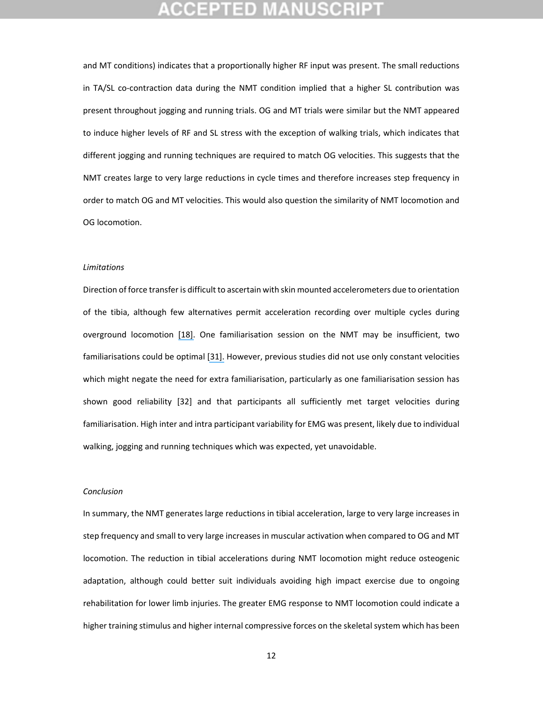and MT conditions) indicates that a proportionally higher RF input was present. The small reductions in TA/SL co-contraction data during the NMT condition implied that a higher SL contribution was present throughout jogging and running trials. OG and MT trials were similar but the NMT appeared to induce higher levels of RF and SL stress with the exception of walking trials, which indicates that different jogging and running techniques are required to match OG velocities. This suggests that the NMT creates large to very large reductions in cycle times and therefore increases step frequency in order to match OG and MT velocities. This would also question the similarity of NMT locomotion and OG locomotion.

#### *Limitations*

Direction of force transfer is difficult to ascertain with skin mounted accelerometers due to orientation of the tibia, although few alternatives permit acceleration recording over multiple cycles during overground locomotion [\[18\].](https://www.researchgate.net/publication/5478635_Test-Retest_Reliability_and_Minimal_Clinical_Change_Determination_for_3-Dimensional_Tibial_and_Femoral_Accelerations_During_Treadmill_Walking_in_Knee_Osteoarthritis_Patients?el=1_x_8&enrichId=rgreq-d792737d95dfc5df4f76784638a03048-XXX&enrichSource=Y292ZXJQYWdlOzMwNDUzMjQ2ODtBUzozODAwNzg5NzEyMTE3OTBAMTQ2NzYyOTI5Njc4NQ==) One familiarisation session on the NMT may be insufficient, two familiarisations could be optimal [\[31\].](https://www.researchgate.net/publication/6134290_The_reliability_of_physiological_and_performance_measures_during_simulated_team-sport_running_on_a_non-motorised_treadmill?el=1_x_8&enrichId=rgreq-d792737d95dfc5df4f76784638a03048-XXX&enrichSource=Y292ZXJQYWdlOzMwNDUzMjQ2ODtBUzozODAwNzg5NzEyMTE3OTBAMTQ2NzYyOTI5Njc4NQ==) However, previous studies did not use only constant velocities which might negate the need for extra familiarisation, particularly as one familiarisation session has shown good reliability [32] and that participants all sufficiently met target velocities during familiarisation. High inter and intra participant variability for EMG was present, likely due to individual walking, jogging and running techniques which was expected, yet unavoidable.

#### *Conclusion*

In summary, the NMT generates large reductions in tibial acceleration, large to very large increases in step frequency and small to very large increases in muscular activation when compared to OG and MT locomotion. The reduction in tibial accelerations during NMT locomotion might reduce osteogenic adaptation, although could better suit individuals avoiding high impact exercise due to ongoing rehabilitation for lower limb injuries. The greater EMG response to NMT locomotion could indicate a higher training stimulus and higher internal compressive forces on the skeletal system which has been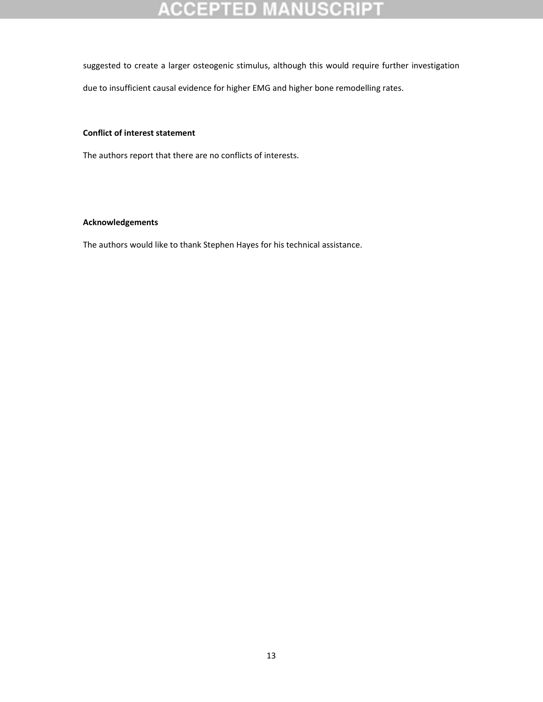# **ACCEPTED MANUSCRIP**

suggested to create a larger osteogenic stimulus, although this would require further investigation

due to insufficient causal evidence for higher EMG and higher bone remodelling rates.

### **Conflict of interest statement**

The authors report that there are no conflicts of interests.

### **Acknowledgements**

The authors would like to thank Stephen Hayes for his technical assistance.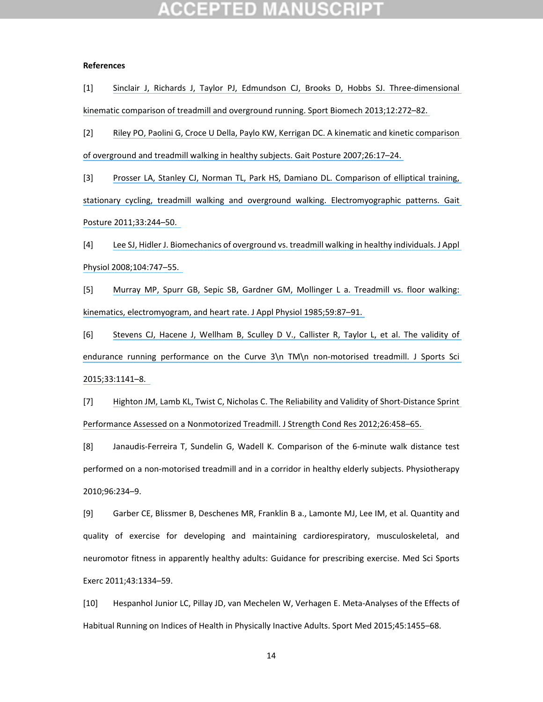## GEPTED

#### **References**

[1] Sinclair J, Richards J, Taylor PJ, Edmundson CJ, Brooks D, Hobbs SJ. Three‐[dimensional](https://www.researchgate.net/publication/235623050_3-D_kinematic_comparison_of_treadmill_and_overground_running?el=1_x_8&enrichId=rgreq-d792737d95dfc5df4f76784638a03048-XXX&enrichSource=Y292ZXJQYWdlOzMwNDUzMjQ2ODtBUzozODAwNzg5NzEyMTE3OTBAMTQ2NzYyOTI5Njc4NQ==) kinematic comparison of treadmill and overground running. Sport Biomech [2013;12:272–82.](https://www.researchgate.net/publication/235623050_3-D_kinematic_comparison_of_treadmill_and_overground_running?el=1_x_8&enrichId=rgreq-d792737d95dfc5df4f76784638a03048-XXX&enrichSource=Y292ZXJQYWdlOzMwNDUzMjQ2ODtBUzozODAwNzg5NzEyMTE3OTBAMTQ2NzYyOTI5Njc4NQ==)

[2] Riley PO, Paolini G, Croce U Della, Paylo KW, Kerrigan DC. A kinematic and kinetic [comparison](https://www.researchgate.net/publication/6882769_A_kinematic_and_kinetic_comparison_of_overground_and_treadmill_walking_in_healthy_subjects?el=1_x_8&enrichId=rgreq-d792737d95dfc5df4f76784638a03048-XXX&enrichSource=Y292ZXJQYWdlOzMwNDUzMjQ2ODtBUzozODAwNzg5NzEyMTE3OTBAMTQ2NzYyOTI5Njc4NQ==) of overground and treadmill walking in healthy subjects. Gait Posture [2007;26:17–24.](https://www.researchgate.net/publication/6882769_A_kinematic_and_kinetic_comparison_of_overground_and_treadmill_walking_in_healthy_subjects?el=1_x_8&enrichId=rgreq-d792737d95dfc5df4f76784638a03048-XXX&enrichSource=Y292ZXJQYWdlOzMwNDUzMjQ2ODtBUzozODAwNzg5NzEyMTE3OTBAMTQ2NzYyOTI5Njc4NQ==)

[3] Prosser LA, Stanley CJ, Norman TL, Park HS, Damiano DL. [Comparison](https://www.researchgate.net/publication/49737711_Comparison_of_elliptical_training_stationary_cycling_treadmill_walking_and_overground_walking_Electromyographic_patterns?el=1_x_8&enrichId=rgreq-d792737d95dfc5df4f76784638a03048-XXX&enrichSource=Y292ZXJQYWdlOzMwNDUzMjQ2ODtBUzozODAwNzg5NzEyMTE3OTBAMTQ2NzYyOTI5Njc4NQ==) of elliptical training, stationary cycling, treadmill walking and overground walking. [Electromyographic](https://www.researchgate.net/publication/49737711_Comparison_of_elliptical_training_stationary_cycling_treadmill_walking_and_overground_walking_Electromyographic_patterns?el=1_x_8&enrichId=rgreq-d792737d95dfc5df4f76784638a03048-XXX&enrichSource=Y292ZXJQYWdlOzMwNDUzMjQ2ODtBUzozODAwNzg5NzEyMTE3OTBAMTQ2NzYyOTI5Njc4NQ==) patterns. Gait Posture [2011;33:244–50.](https://www.researchgate.net/publication/49737711_Comparison_of_elliptical_training_stationary_cycling_treadmill_walking_and_overground_walking_Electromyographic_patterns?el=1_x_8&enrichId=rgreq-d792737d95dfc5df4f76784638a03048-XXX&enrichSource=Y292ZXJQYWdlOzMwNDUzMjQ2ODtBUzozODAwNzg5NzEyMTE3OTBAMTQ2NzYyOTI5Njc4NQ==)

[4] Lee SJ, Hidler J. [Biomechanics](https://www.researchgate.net/publication/5798617_Biomechanics_of_overground_vs_treadmill_walking_in_healthy_individuals?el=1_x_8&enrichId=rgreq-d792737d95dfc5df4f76784638a03048-XXX&enrichSource=Y292ZXJQYWdlOzMwNDUzMjQ2ODtBUzozODAwNzg5NzEyMTE3OTBAMTQ2NzYyOTI5Njc4NQ==) of overground vs. treadmill walking in healthy individuals. J Appl Physiol [2008;104:747–55.](https://www.researchgate.net/publication/5798617_Biomechanics_of_overground_vs_treadmill_walking_in_healthy_individuals?el=1_x_8&enrichId=rgreq-d792737d95dfc5df4f76784638a03048-XXX&enrichSource=Y292ZXJQYWdlOzMwNDUzMjQ2ODtBUzozODAwNzg5NzEyMTE3OTBAMTQ2NzYyOTI5Njc4NQ==)

[5] Murray MP, Spurr GB, Sepic SB, Gardner GM, [Mollinger](https://www.researchgate.net/publication/19130523_Treadmill_vs_floor_walking_Kinematics_electromyogram_and_heart_rate?el=1_x_8&enrichId=rgreq-d792737d95dfc5df4f76784638a03048-XXX&enrichSource=Y292ZXJQYWdlOzMwNDUzMjQ2ODtBUzozODAwNzg5NzEyMTE3OTBAMTQ2NzYyOTI5Njc4NQ==) L a. Treadmill vs. floor walking: kinematics, [electromyogram,](https://www.researchgate.net/publication/19130523_Treadmill_vs_floor_walking_Kinematics_electromyogram_and_heart_rate?el=1_x_8&enrichId=rgreq-d792737d95dfc5df4f76784638a03048-XXX&enrichSource=Y292ZXJQYWdlOzMwNDUzMjQ2ODtBUzozODAwNzg5NzEyMTE3OTBAMTQ2NzYyOTI5Njc4NQ==) and heart rate. J Appl Physiol 1985;59:87–91.

[6] Stevens CJ, Hacene J, [Wellham](https://www.researchgate.net/publication/269414734_The_validity_of_endurance_running_performance_on_the_Curve_3_TM_non-motorised_treadmill?el=1_x_8&enrichId=rgreq-d792737d95dfc5df4f76784638a03048-XXX&enrichSource=Y292ZXJQYWdlOzMwNDUzMjQ2ODtBUzozODAwNzg5NzEyMTE3OTBAMTQ2NzYyOTI5Njc4NQ==) B, Sculley D V., Callister R, Taylor L, et al. The validity of endurance running [performance](https://www.researchgate.net/publication/269414734_The_validity_of_endurance_running_performance_on_the_Curve_3_TM_non-motorised_treadmill?el=1_x_8&enrichId=rgreq-d792737d95dfc5df4f76784638a03048-XXX&enrichSource=Y292ZXJQYWdlOzMwNDUzMjQ2ODtBUzozODAwNzg5NzEyMTE3OTBAMTQ2NzYyOTI5Njc4NQ==) on the Curve 3\n TM\n non-motorised treadmill. J Sports Sci [2015;33:1141–8.](https://www.researchgate.net/publication/269414734_The_validity_of_endurance_running_performance_on_the_Curve_3_TM_non-motorised_treadmill?el=1_x_8&enrichId=rgreq-d792737d95dfc5df4f76784638a03048-XXX&enrichSource=Y292ZXJQYWdlOzMwNDUzMjQ2ODtBUzozODAwNzg5NzEyMTE3OTBAMTQ2NzYyOTI5Njc4NQ==)

[7] Highton JM, Lamb KL, Twist C, Nicholas C. The [Reliability](https://www.researchgate.net/publication/221737188_The_Reliability_and_Validity_of_Short-Distance_Sprint_Performance_Assessed_on_a_Nonmotorized_Treadmill?el=1_x_8&enrichId=rgreq-d792737d95dfc5df4f76784638a03048-XXX&enrichSource=Y292ZXJQYWdlOzMwNDUzMjQ2ODtBUzozODAwNzg5NzEyMTE3OTBAMTQ2NzYyOTI5Njc4NQ==) and Validity of Short‐Distance Sprint Performance Assessed on a Nonmotorized Treadmill. J Strength Cond Res [2012;26:458–65.](https://www.researchgate.net/publication/221737188_The_Reliability_and_Validity_of_Short-Distance_Sprint_Performance_Assessed_on_a_Nonmotorized_Treadmill?el=1_x_8&enrichId=rgreq-d792737d95dfc5df4f76784638a03048-XXX&enrichSource=Y292ZXJQYWdlOzMwNDUzMjQ2ODtBUzozODAwNzg5NzEyMTE3OTBAMTQ2NzYyOTI5Njc4NQ==)

[8] Janaudis‐Ferreira T, Sundelin G, Wadell K. Comparison of the 6‐minute walk distance test performed on a non‐motorised treadmill and in a corridor in healthy elderly subjects. Physiotherapy 2010;96:234–9.

[9] Garber CE, Blissmer B, Deschenes MR, Franklin B a., Lamonte MJ, Lee IM, et al. Quantity and quality of exercise for developing and maintaining cardiorespiratory, musculoskeletal, and neuromotor fitness in apparently healthy adults: Guidance for prescribing exercise. Med Sci Sports Exerc 2011;43:1334–59.

[10] Hespanhol Junior LC, Pillay JD, van Mechelen W, Verhagen E. Meta‐Analyses of the Effects of Habitual Running on Indices of Health in Physically Inactive Adults. Sport Med 2015;45:1455–68.

14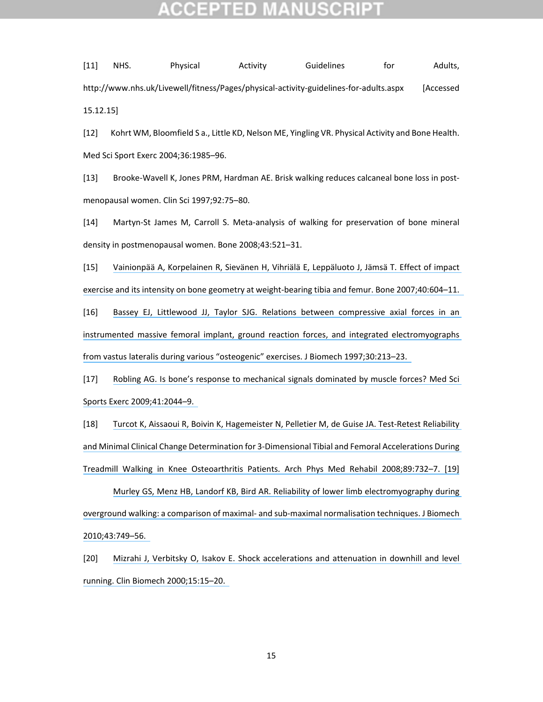# TED

[11] NHS. Physical Activity Guidelines for Adults, http://www.nhs.uk/Livewell/fitness/Pages/physical‐activity‐guidelines‐for‐adults.aspx [Accessed 15.12.15]

[12] Kohrt WM, Bloomfield S a., Little KD, Nelson ME, Yingling VR. Physical Activity and Bone Health. Med Sci Sport Exerc 2004;36:1985–96.

[13] Brooke‐Wavell K, Jones PRM, Hardman AE. Brisk walking reduces calcaneal bone loss in post‐ menopausal women. Clin Sci 1997;92:75–80.

[14] Martyn‐St James M, Carroll S. Meta‐analysis of walking for preservation of bone mineral density in postmenopausal women. Bone 2008;43:521–31.

[15] Vainionpää A, [Korpelainen](https://www.researchgate.net/publication/6657878_Effect_of_impact_exercise_and_its_intensity_on_bone_geometry_at_weight-bearing_tibia_and_femur?el=1_x_8&enrichId=rgreq-d792737d95dfc5df4f76784638a03048-XXX&enrichSource=Y292ZXJQYWdlOzMwNDUzMjQ2ODtBUzozODAwNzg5NzEyMTE3OTBAMTQ2NzYyOTI5Njc4NQ==) R, Sievänen H, Vihriälä E, Leppäluoto J, Jämsä T. Effect of impact exercise and its intensity on bone geometry at weight‐bearing tibia and femur. Bone [2007;40:604–11.](https://www.researchgate.net/publication/6657878_Effect_of_impact_exercise_and_its_intensity_on_bone_geometry_at_weight-bearing_tibia_and_femur?el=1_x_8&enrichId=rgreq-d792737d95dfc5df4f76784638a03048-XXX&enrichSource=Y292ZXJQYWdlOzMwNDUzMjQ2ODtBUzozODAwNzg5NzEyMTE3OTBAMTQ2NzYyOTI5Njc4NQ==)

[16] Bassey EJ, Littlewood JJ, Taylor SJG. Relations between [compressive](https://www.researchgate.net/publication/14098146_Relations_between_compressive_axial_forces_in_an_instrumented_massive_femoral_implant_ground_reaction_forces_and_integrated_electromyographs_from_vastus_lateralis_during_various_) axial forces in an instrumented massive femoral implant, ground reaction forces, and integrated [electromyographs](https://www.researchgate.net/publication/14098146_Relations_between_compressive_axial_forces_in_an_instrumented_massive_femoral_implant_ground_reaction_forces_and_integrated_electromyographs_from_vastus_lateralis_during_various_) from vastus lateralis during various "osteogenic" exercises. J Biomech [1997;30:213–23.](https://www.researchgate.net/publication/14098146_Relations_between_compressive_axial_forces_in_an_instrumented_massive_femoral_implant_ground_reaction_forces_and_integrated_electromyographs_from_vastus_lateralis_during_various_)

[17] Robling AG. Is bone's response to [mechanical](https://www.researchgate.net/publication/26879368_Is_Bone) signals dominated by muscle forces? Med Sci Sports Exerc [2009;41:2044–9.](https://www.researchgate.net/publication/26879368_Is_Bone)

[18] Turcot K, Aissaoui R, Boivin K, [Hagemeister](https://www.researchgate.net/publication/5478635_Test-Retest_Reliability_and_Minimal_Clinical_Change_Determination_for_3-Dimensional_Tibial_and_Femoral_Accelerations_During_Treadmill_Walking_in_Knee_Osteoarthritis_Patients?el=1_x_8&enrichId=rgreq-d792737d95dfc5df4f76784638a03048-XXX&enrichSource=Y292ZXJQYWdlOzMwNDUzMjQ2ODtBUzozODAwNzg5NzEyMTE3OTBAMTQ2NzYyOTI5Njc4NQ==) N, Pelletier M, de Guise JA. Test‐Retest Reliability and Minimal Clinical Change [Determination](https://www.researchgate.net/publication/5478635_Test-Retest_Reliability_and_Minimal_Clinical_Change_Determination_for_3-Dimensional_Tibial_and_Femoral_Accelerations_During_Treadmill_Walking_in_Knee_Osteoarthritis_Patients?el=1_x_8&enrichId=rgreq-d792737d95dfc5df4f76784638a03048-XXX&enrichSource=Y292ZXJQYWdlOzMwNDUzMjQ2ODtBUzozODAwNzg5NzEyMTE3OTBAMTQ2NzYyOTI5Njc4NQ==) for 3‐Dimensional Tibial and Femoral Accelerations During Treadmill Walking in Knee Osteoarthritis Patients. Arch Phys Med Rehabil [2008;89:732–7.](https://www.researchgate.net/publication/5478635_Test-Retest_Reliability_and_Minimal_Clinical_Change_Determination_for_3-Dimensional_Tibial_and_Femoral_Accelerations_During_Treadmill_Walking_in_Knee_Osteoarthritis_Patients?el=1_x_8&enrichId=rgreq-d792737d95dfc5df4f76784638a03048-XXX&enrichSource=Y292ZXJQYWdlOzMwNDUzMjQ2ODtBUzozODAwNzg5NzEyMTE3OTBAMTQ2NzYyOTI5Njc4NQ==) [19]

Murley GS, Menz HB, Landorf KB, Bird AR. Reliability of lower limb [electromyography](https://www.researchgate.net/publication/38086084_Reliability_of_lower_limb_electromyography_during_overground_walking_A_comparison_of_maximal-_and_sub-maximal_normalisation_techniques?el=1_x_8&enrichId=rgreq-d792737d95dfc5df4f76784638a03048-XXX&enrichSource=Y292ZXJQYWdlOzMwNDUzMjQ2ODtBUzozODAwNzg5NzEyMTE3OTBAMTQ2NzYyOTI5Njc4NQ==) during overground walking: a comparison of maximal‐ and sub‐maximal [normalisation](https://www.researchgate.net/publication/38086084_Reliability_of_lower_limb_electromyography_during_overground_walking_A_comparison_of_maximal-_and_sub-maximal_normalisation_techniques?el=1_x_8&enrichId=rgreq-d792737d95dfc5df4f76784638a03048-XXX&enrichSource=Y292ZXJQYWdlOzMwNDUzMjQ2ODtBUzozODAwNzg5NzEyMTE3OTBAMTQ2NzYyOTI5Njc4NQ==) techniques. J Biomech [2010;43:749–56.](https://www.researchgate.net/publication/38086084_Reliability_of_lower_limb_electromyography_during_overground_walking_A_comparison_of_maximal-_and_sub-maximal_normalisation_techniques?el=1_x_8&enrichId=rgreq-d792737d95dfc5df4f76784638a03048-XXX&enrichSource=Y292ZXJQYWdlOzMwNDUzMjQ2ODtBUzozODAwNzg5NzEyMTE3OTBAMTQ2NzYyOTI5Njc4NQ==)

[20] Mizrahi J, Verbitsky O, Isakov E. Shock [accelerations](https://www.researchgate.net/publication/12711682_Shock_accelerations_and_attenuation_in_downhill_and_level_running?el=1_x_8&enrichId=rgreq-d792737d95dfc5df4f76784638a03048-XXX&enrichSource=Y292ZXJQYWdlOzMwNDUzMjQ2ODtBUzozODAwNzg5NzEyMTE3OTBAMTQ2NzYyOTI5Njc4NQ==) and attenuation in downhill and level running. Clin Biomech [2000;15:15–20.](https://www.researchgate.net/publication/12711682_Shock_accelerations_and_attenuation_in_downhill_and_level_running?el=1_x_8&enrichId=rgreq-d792737d95dfc5df4f76784638a03048-XXX&enrichSource=Y292ZXJQYWdlOzMwNDUzMjQ2ODtBUzozODAwNzg5NzEyMTE3OTBAMTQ2NzYyOTI5Njc4NQ==)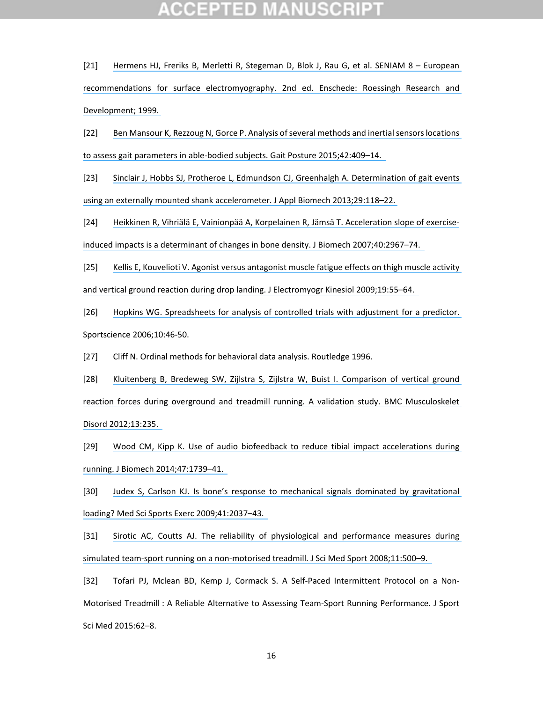[21] Hermens HJ, Freriks B, Merletti R, [Stegeman](https://www.researchgate.net/publication/303802872_European_recommendations_for_surface_electromyography?el=1_x_8&enrichId=rgreq-d792737d95dfc5df4f76784638a03048-XXX&enrichSource=Y292ZXJQYWdlOzMwNDUzMjQ2ODtBUzozODAwNzg5NzEyMTE3OTBAMTQ2NzYyOTI5Njc4NQ==) D, Blok J, Rau G, et al. SENIAM 8 – European recommendations for surface [electromyography.](https://www.researchgate.net/publication/303802872_European_recommendations_for_surface_electromyography?el=1_x_8&enrichId=rgreq-d792737d95dfc5df4f76784638a03048-XXX&enrichSource=Y292ZXJQYWdlOzMwNDUzMjQ2ODtBUzozODAwNzg5NzEyMTE3OTBAMTQ2NzYyOTI5Njc4NQ==) 2nd ed. Enschede: Roessingh Research and [Development;](https://www.researchgate.net/publication/303802872_European_recommendations_for_surface_electromyography?el=1_x_8&enrichId=rgreq-d792737d95dfc5df4f76784638a03048-XXX&enrichSource=Y292ZXJQYWdlOzMwNDUzMjQ2ODtBUzozODAwNzg5NzEyMTE3OTBAMTQ2NzYyOTI5Njc4NQ==) 1999.

[22] Ben Mansour K, Rezzoug N, Gorce P. Analysis of several methods and inertial sensors locations to assess gait parameters in able‐bodied subjects. Gait Posture [2015;42:409–14.](https://www.researchgate.net/publication/281511105_Analysis_of_several_methods_and_inertial_sensors_locations_to_assess_gait_parameters_in_able-bodied_subjects?el=1_x_8&enrichId=rgreq-d792737d95dfc5df4f76784638a03048-XXX&enrichSource=Y292ZXJQYWdlOzMwNDUzMjQ2ODtBUzozODAwNzg5NzEyMTE3OTBAMTQ2NzYyOTI5Njc4NQ==)

[23] Sinclair J, Hobbs SJ, Protheroe L, Edmundson CJ, Greenhalgh A. [Determination](https://www.researchgate.net/publication/235796539_Determination_of_Gait_Events_Using_an_Externally_Mounted_Shank_Accelerometer?el=1_x_8&enrichId=rgreq-d792737d95dfc5df4f76784638a03048-XXX&enrichSource=Y292ZXJQYWdlOzMwNDUzMjQ2ODtBUzozODAwNzg5NzEyMTE3OTBAMTQ2NzYyOTI5Njc4NQ==) of gait events using an externally mounted shank accelerometer. J Appl Biomech [2013;29:118–22.](https://www.researchgate.net/publication/235796539_Determination_of_Gait_Events_Using_an_Externally_Mounted_Shank_Accelerometer?el=1_x_8&enrichId=rgreq-d792737d95dfc5df4f76784638a03048-XXX&enrichSource=Y292ZXJQYWdlOzMwNDUzMjQ2ODtBUzozODAwNzg5NzEyMTE3OTBAMTQ2NzYyOTI5Njc4NQ==)

[24] Heikkinen R, Vihriälä E, Vainionpää A, Korpelainen R, Jämsä T. [Acceleration](https://www.researchgate.net/publication/51381640_Acceleration_slope_of_exercise-induced_impacts_is_a_determinant_of_changes_in_bone_density?el=1_x_8&enrichId=rgreq-d792737d95dfc5df4f76784638a03048-XXX&enrichSource=Y292ZXJQYWdlOzMwNDUzMjQ2ODtBUzozODAwNzg5NzEyMTE3OTBAMTQ2NzYyOTI5Njc4NQ==) slope of exercise‐ induced impacts is a determinant of changes in bone density. J Biomech [2007;40:2967–74.](https://www.researchgate.net/publication/51381640_Acceleration_slope_of_exercise-induced_impacts_is_a_determinant_of_changes_in_bone_density?el=1_x_8&enrichId=rgreq-d792737d95dfc5df4f76784638a03048-XXX&enrichSource=Y292ZXJQYWdlOzMwNDUzMjQ2ODtBUzozODAwNzg5NzEyMTE3OTBAMTQ2NzYyOTI5Njc4NQ==)

[25] Kellis E, Kouvelioti V. Agonist versus [antagonist](https://www.researchgate.net/publication/5954902_Agonist_versus_antagonist_muscle_fatigue_effects_on_thigh_muscle_activity_and_vertical_ground_reaction_during_drop_landing?el=1_x_8&enrichId=rgreq-d792737d95dfc5df4f76784638a03048-XXX&enrichSource=Y292ZXJQYWdlOzMwNDUzMjQ2ODtBUzozODAwNzg5NzEyMTE3OTBAMTQ2NzYyOTI5Njc4NQ==) muscle fatigue effects on thigh muscle activity and vertical ground reaction during drop landing. J Electromyogr Kinesiol [2009;19:55–64.](https://www.researchgate.net/publication/5954902_Agonist_versus_antagonist_muscle_fatigue_effects_on_thigh_muscle_activity_and_vertical_ground_reaction_during_drop_landing?el=1_x_8&enrichId=rgreq-d792737d95dfc5df4f76784638a03048-XXX&enrichSource=Y292ZXJQYWdlOzMwNDUzMjQ2ODtBUzozODAwNzg5NzEyMTE3OTBAMTQ2NzYyOTI5Njc4NQ==)

[26] Hopkins WG. [Spreadsheets](https://www.researchgate.net/publication/285914670_Spreadsheets_for_analysis_of_controlled_trials_with_adjustment_for_a_subject_characteristic?el=1_x_8&enrichId=rgreq-d792737d95dfc5df4f76784638a03048-XXX&enrichSource=Y292ZXJQYWdlOzMwNDUzMjQ2ODtBUzozODAwNzg5NzEyMTE3OTBAMTQ2NzYyOTI5Njc4NQ==) for analysis of controlled trials with adjustment for a predictor. Sportscience 2006;10:46‐50.

[27] Cliff N. Ordinal methods for behavioral data analysis. Routledge 1996.

[28] Kluitenberg B, Bredeweg SW, Zijlstra S, Zijlstra W, Buist I. [Comparison](https://www.researchgate.net/publication/233787216_Comparison_of_vertical_ground_reaction_forces_during_overground_and_treadmill_running_A_validation_study?el=1_x_8&enrichId=rgreq-d792737d95dfc5df4f76784638a03048-XXX&enrichSource=Y292ZXJQYWdlOzMwNDUzMjQ2ODtBUzozODAwNzg5NzEyMTE3OTBAMTQ2NzYyOTI5Njc4NQ==) of vertical ground reaction forces during overground and treadmill running. A validation study. BMC [Musculoskelet](https://www.researchgate.net/publication/233787216_Comparison_of_vertical_ground_reaction_forces_during_overground_and_treadmill_running_A_validation_study?el=1_x_8&enrichId=rgreq-d792737d95dfc5df4f76784638a03048-XXX&enrichSource=Y292ZXJQYWdlOzMwNDUzMjQ2ODtBUzozODAwNzg5NzEyMTE3OTBAMTQ2NzYyOTI5Njc4NQ==) Disord [2012;13:235.](https://www.researchgate.net/publication/233787216_Comparison_of_vertical_ground_reaction_forces_during_overground_and_treadmill_running_A_validation_study?el=1_x_8&enrichId=rgreq-d792737d95dfc5df4f76784638a03048-XXX&enrichSource=Y292ZXJQYWdlOzMwNDUzMjQ2ODtBUzozODAwNzg5NzEyMTE3OTBAMTQ2NzYyOTI5Njc4NQ==)

[29] Wood CM, Kipp K. Use of audio biofeedback to reduce tibial impact [accelerations](https://www.researchgate.net/publication/261218559_Use_of_audio_biofeedback_to_reduce_tibial_impact_accelerations_during_running?el=1_x_8&enrichId=rgreq-d792737d95dfc5df4f76784638a03048-XXX&enrichSource=Y292ZXJQYWdlOzMwNDUzMjQ2ODtBUzozODAwNzg5NzEyMTE3OTBAMTQ2NzYyOTI5Njc4NQ==) during running. J Biomech [2014;47:1739–41.](https://www.researchgate.net/publication/261218559_Use_of_audio_biofeedback_to_reduce_tibial_impact_accelerations_during_running?el=1_x_8&enrichId=rgreq-d792737d95dfc5df4f76784638a03048-XXX&enrichSource=Y292ZXJQYWdlOzMwNDUzMjQ2ODtBUzozODAwNzg5NzEyMTE3OTBAMTQ2NzYyOTI5Njc4NQ==)

[30] Judex S, Carlson KJ. Is bone's response to mechanical signals dominated by [gravitational](https://www.researchgate.net/publication/26879369_Is_Bone) loading? Med Sci Sports Exerc [2009;41:2037–43.](https://www.researchgate.net/publication/26879369_Is_Bone)

[31] Sirotic AC, Coutts AJ. The reliability of physiological and [performance](https://www.researchgate.net/publication/6134290_The_reliability_of_physiological_and_performance_measures_during_simulated_team-sport_running_on_a_non-motorised_treadmill?el=1_x_8&enrichId=rgreq-d792737d95dfc5df4f76784638a03048-XXX&enrichSource=Y292ZXJQYWdlOzMwNDUzMjQ2ODtBUzozODAwNzg5NzEyMTE3OTBAMTQ2NzYyOTI5Njc4NQ==) measures during simulated team-sport running on a non-motorised treadmill. J Sci Med Sport 2008;11:500-9.

[32] Tofari PJ, Mclean BD, Kemp J, Cormack S. A Self-Paced Intermittent Protocol on a Non-Motorised Treadmill : A Reliable Alternative to Assessing Team‐Sport Running Performance. J Sport Sci Med 2015:62–8.

16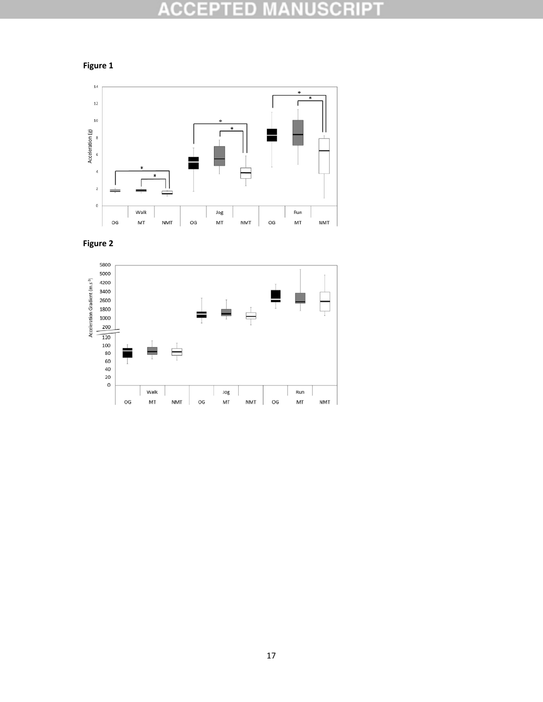# **ACCEPTED MANUSCRIPT**







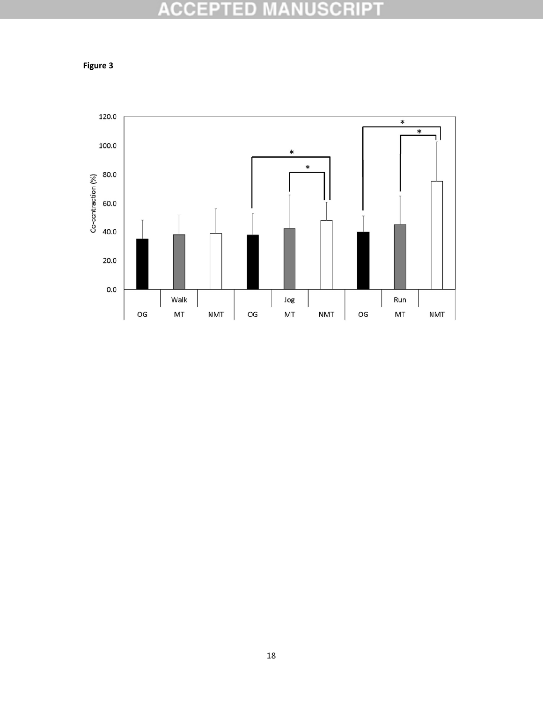# **ACCEPTED MANUSCRIPT**



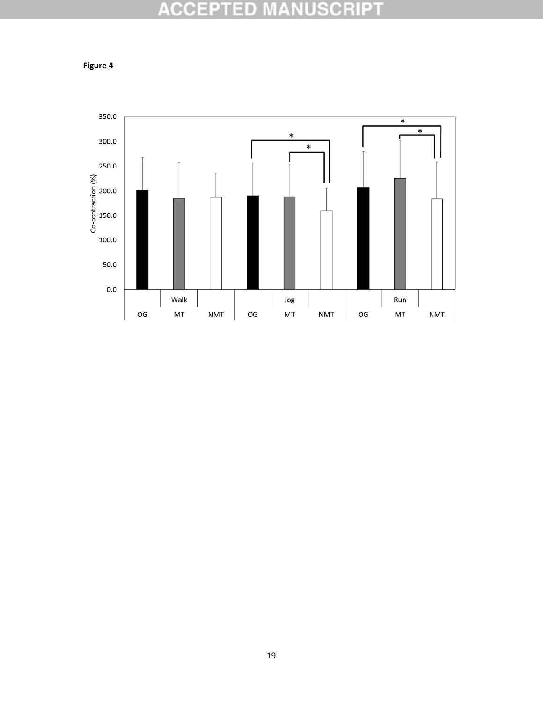# **ACCEPTED MANUSCRIPT**

**Figure 4**